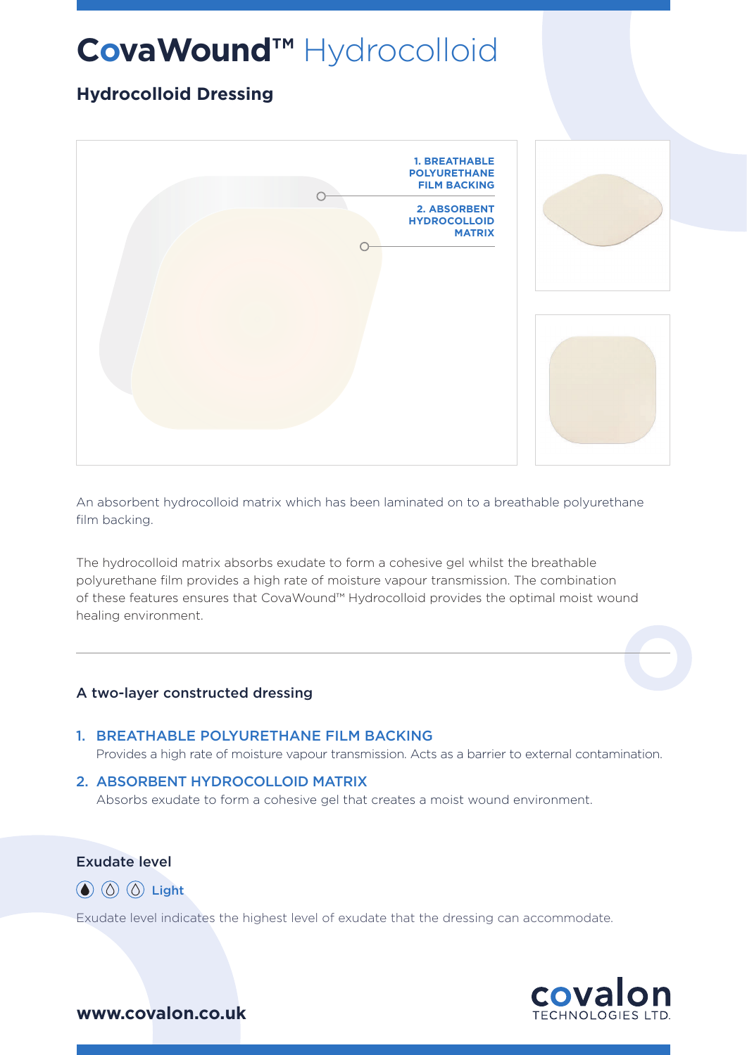# **CovaWound™** Hydrocolloid

# **Hydrocolloid Dressing**



An absorbent hydrocolloid matrix which has been laminated on to a breathable polyurethane film backing.

The hydrocolloid matrix absorbs exudate to form a cohesive gel whilst the breathable polyurethane film provides a high rate of moisture vapour transmission. The combination of these features ensures that CovaWound™ Hydrocolloid provides the optimal moist wound healing environment.

### A two-layer constructed dressing

#### 1. BREATHABLE POLYURETHANE FILM BACKING

Provides a high rate of moisture vapour transmission. Acts as a barrier to external contamination.

#### 2. ABSORBENT HYDROCOLLOID MATRIX

Absorbs exudate to form a cohesive gel that creates a moist wound environment.

## Exudate level

 $\circled{a}$   $\circled{b}$   $\circled{c}$  Light

Exudate level indicates the highest level of exudate that the dressing can accommodate.



## **www.covalon.co.uk**